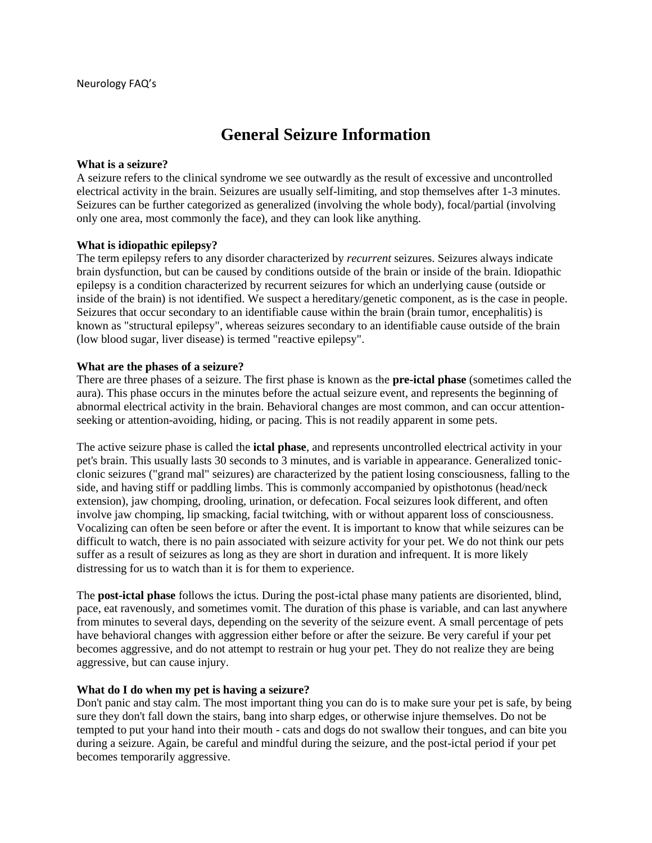# **General Seizure Information**

#### **What is a seizure?**

A seizure refers to the clinical syndrome we see outwardly as the result of excessive and uncontrolled electrical activity in the brain. Seizures are usually self-limiting, and stop themselves after 1-3 minutes. Seizures can be further categorized as generalized (involving the whole body), focal/partial (involving only one area, most commonly the face), and they can look like anything.

#### **What is idiopathic epilepsy?**

The term epilepsy refers to any disorder characterized by *recurrent* seizures. Seizures always indicate brain dysfunction, but can be caused by conditions outside of the brain or inside of the brain. Idiopathic epilepsy is a condition characterized by recurrent seizures for which an underlying cause (outside or inside of the brain) is not identified. We suspect a hereditary/genetic component, as is the case in people. Seizures that occur secondary to an identifiable cause within the brain (brain tumor, encephalitis) is known as "structural epilepsy", whereas seizures secondary to an identifiable cause outside of the brain (low blood sugar, liver disease) is termed "reactive epilepsy".

#### **What are the phases of a seizure?**

There are three phases of a seizure. The first phase is known as the **pre-ictal phase** (sometimes called the aura). This phase occurs in the minutes before the actual seizure event, and represents the beginning of abnormal electrical activity in the brain. Behavioral changes are most common, and can occur attentionseeking or attention-avoiding, hiding, or pacing. This is not readily apparent in some pets.

The active seizure phase is called the **ictal phase**, and represents uncontrolled electrical activity in your pet's brain. This usually lasts 30 seconds to 3 minutes, and is variable in appearance. Generalized tonicclonic seizures ("grand mal" seizures) are characterized by the patient losing consciousness, falling to the side, and having stiff or paddling limbs. This is commonly accompanied by opisthotonus (head/neck extension), jaw chomping, drooling, urination, or defecation. Focal seizures look different, and often involve jaw chomping, lip smacking, facial twitching, with or without apparent loss of consciousness. Vocalizing can often be seen before or after the event. It is important to know that while seizures can be difficult to watch, there is no pain associated with seizure activity for your pet. We do not think our pets suffer as a result of seizures as long as they are short in duration and infrequent. It is more likely distressing for us to watch than it is for them to experience.

The **post-ictal phase** follows the ictus. During the post-ictal phase many patients are disoriented, blind, pace, eat ravenously, and sometimes vomit. The duration of this phase is variable, and can last anywhere from minutes to several days, depending on the severity of the seizure event. A small percentage of pets have behavioral changes with aggression either before or after the seizure. Be very careful if your pet becomes aggressive, and do not attempt to restrain or hug your pet. They do not realize they are being aggressive, but can cause injury.

#### **What do I do when my pet is having a seizure?**

Don't panic and stay calm. The most important thing you can do is to make sure your pet is safe, by being sure they don't fall down the stairs, bang into sharp edges, or otherwise injure themselves. Do not be tempted to put your hand into their mouth - cats and dogs do not swallow their tongues, and can bite you during a seizure. Again, be careful and mindful during the seizure, and the post-ictal period if your pet becomes temporarily aggressive.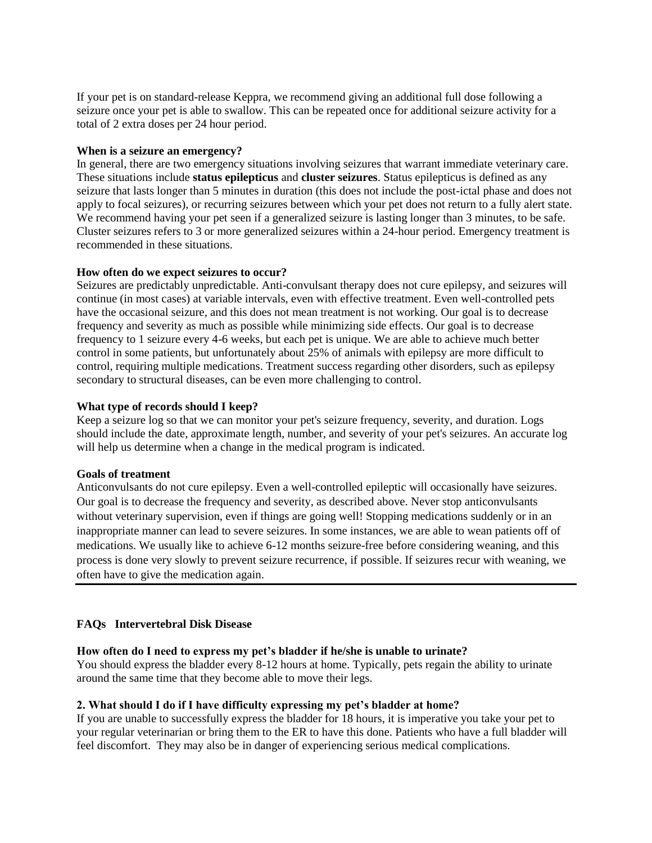If your pet is on standard-release Keppra, we recommend giving an additional full dose following a seizure once your pet is able to swallow. This can be repeated once for additional seizure activity for a total of 2 extra doses per 24 hour period.

### **When is a seizure an emergency?**

In general, there are two emergency situations involving seizures that warrant immediate veterinary care. These situations include **status epilepticus** and **cluster seizures**. Status epilepticus is defined as any seizure that lasts longer than 5 minutes in duration (this does not include the post-ictal phase and does not apply to focal seizures), or recurring seizures between which your pet does not return to a fully alert state. We recommend having your pet seen if a generalized seizure is lasting longer than 3 minutes, to be safe. Cluster seizures refers to 3 or more generalized seizures within a 24-hour period. Emergency treatment is recommended in these situations.

### **How often do we expect seizures to occur?**

Seizures are predictably unpredictable. Anti-convulsant therapy does not cure epilepsy, and seizures will continue (in most cases) at variable intervals, even with effective treatment. Even well-controlled pets have the occasional seizure, and this does not mean treatment is not working. Our goal is to decrease frequency and severity as much as possible while minimizing side effects. Our goal is to decrease frequency to 1 seizure every 4-6 weeks, but each pet is unique. We are able to achieve much better control in some patients, but unfortunately about 25% of animals with epilepsy are more difficult to control, requiring multiple medications. Treatment success regarding other disorders, such as epilepsy secondary to structural diseases, can be even more challenging to control.

### **What type of records should I keep?**

Keep a seizure log so that we can monitor your pet's seizure frequency, severity, and duration. Logs should include the date, approximate length, number, and severity of your pet's seizures. An accurate log will help us determine when a change in the medical program is indicated.

#### **Goals of treatment**

Anticonvulsants do not cure epilepsy. Even a well-controlled epileptic will occasionally have seizures. Our goal is to decrease the frequency and severity, as described above. Never stop anticonvulsants without veterinary supervision, even if things are going well! Stopping medications suddenly or in an inappropriate manner can lead to severe seizures. In some instances, we are able to wean patients off of medications. We usually like to achieve 6-12 months seizure-free before considering weaning, and this process is done very slowly to prevent seizure recurrence, if possible. If seizures recur with weaning, we often have to give the medication again.

### **FAQs Intervertebral Disk Disease**

#### **How often do I need to express my pet's bladder if he/she is unable to urinate?**

You should express the bladder every 8-12 hours at home. Typically, pets regain the ability to urinate around the same time that they become able to move their legs.

#### **2. What should I do if I have difficulty expressing my pet's bladder at home?**

If you are unable to successfully express the bladder for 18 hours, it is imperative you take your pet to your regular veterinarian or bring them to the ER to have this done. Patients who have a full bladder will feel discomfort. They may also be in danger of experiencing serious medical complications.